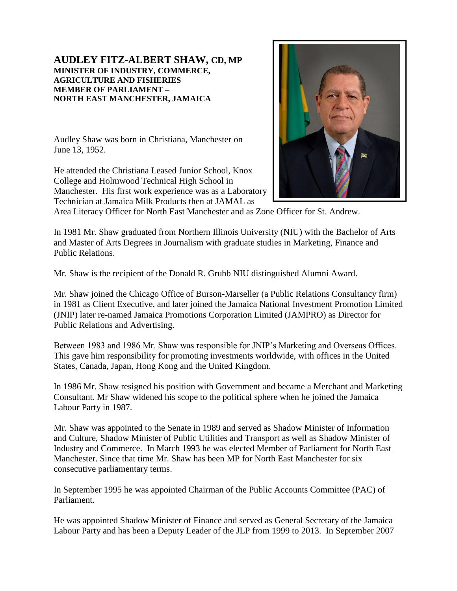## **AUDLEY FITZ-ALBERT SHAW, CD, MP MINISTER OF INDUSTRY, COMMERCE, AGRICULTURE AND FISHERIES MEMBER OF PARLIAMENT – NORTH EAST MANCHESTER, JAMAICA**

Audley Shaw was born in Christiana, Manchester on June 13, 1952.

He attended the Christiana Leased Junior School, Knox College and Holmwood Technical High School in Manchester. His first work experience was as a Laboratory Technician at Jamaica Milk Products then at JAMAL as



Area Literacy Officer for North East Manchester and as Zone Officer for St. Andrew.

In 1981 Mr. Shaw graduated from Northern Illinois University (NIU) with the Bachelor of Arts and Master of Arts Degrees in Journalism with graduate studies in Marketing, Finance and Public Relations.

Mr. Shaw is the recipient of the Donald R. Grubb NIU distinguished Alumni Award.

Mr. Shaw joined the Chicago Office of Burson-Marseller (a Public Relations Consultancy firm) in 1981 as Client Executive, and later joined the Jamaica National Investment Promotion Limited (JNIP) later re-named Jamaica Promotions Corporation Limited (JAMPRO) as Director for Public Relations and Advertising.

Between 1983 and 1986 Mr. Shaw was responsible for JNIP's Marketing and Overseas Offices. This gave him responsibility for promoting investments worldwide, with offices in the United States, Canada, Japan, Hong Kong and the United Kingdom.

In 1986 Mr. Shaw resigned his position with Government and became a Merchant and Marketing Consultant. Mr Shaw widened his scope to the political sphere when he joined the Jamaica Labour Party in 1987.

Mr. Shaw was appointed to the Senate in 1989 and served as Shadow Minister of Information and Culture, Shadow Minister of Public Utilities and Transport as well as Shadow Minister of Industry and Commerce. In March 1993 he was elected Member of Parliament for North East Manchester. Since that time Mr. Shaw has been MP for North East Manchester for six consecutive parliamentary terms.

In September 1995 he was appointed Chairman of the Public Accounts Committee (PAC) of Parliament.

He was appointed Shadow Minister of Finance and served as General Secretary of the Jamaica Labour Party and has been a Deputy Leader of the JLP from 1999 to 2013. In September 2007